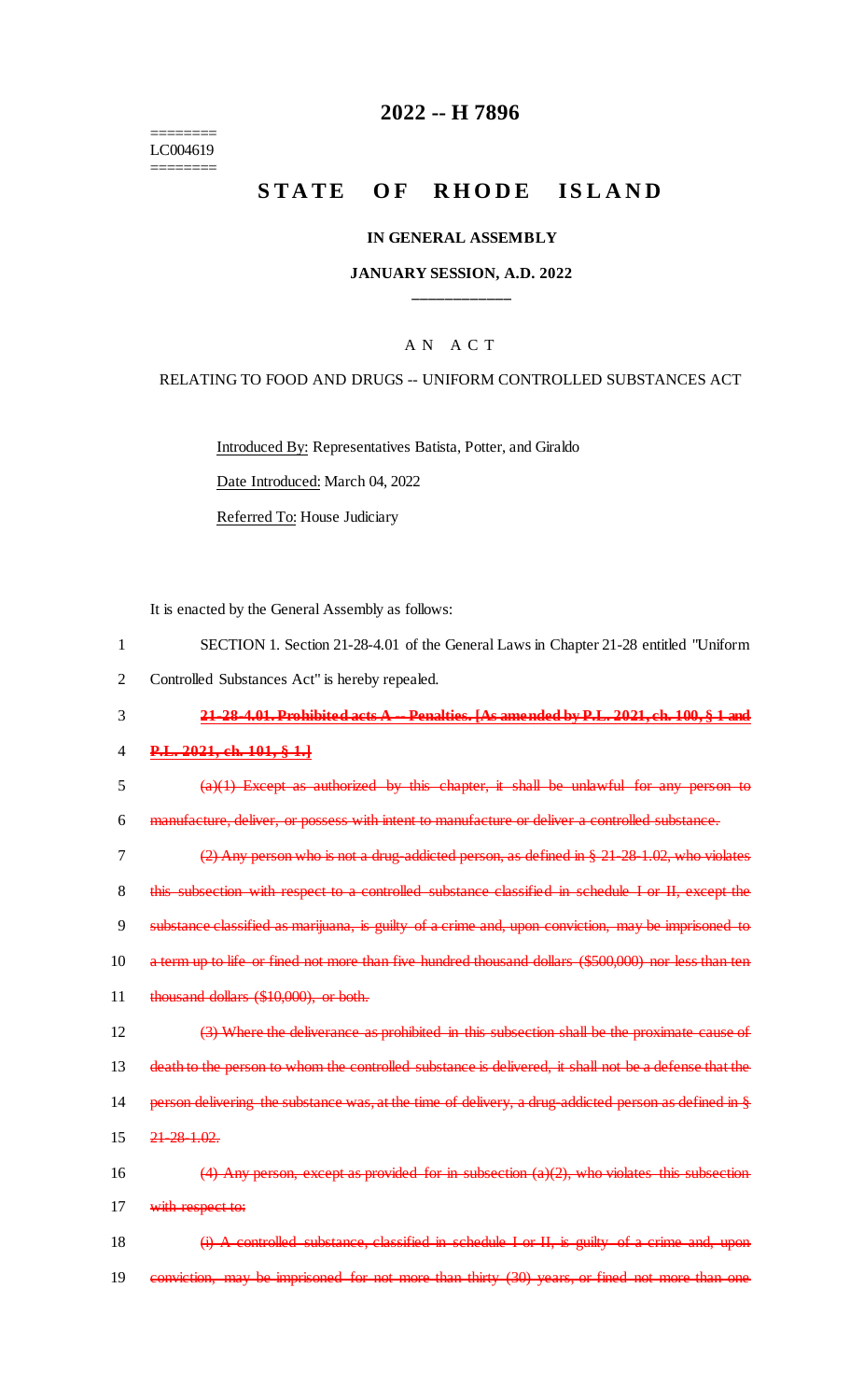======== LC004619 ========

## **2022 -- H 7896**

# **STATE OF RHODE ISLAND**

#### **IN GENERAL ASSEMBLY**

#### **JANUARY SESSION, A.D. 2022 \_\_\_\_\_\_\_\_\_\_\_\_**

#### A N A C T

#### RELATING TO FOOD AND DRUGS -- UNIFORM CONTROLLED SUBSTANCES ACT

Introduced By: Representatives Batista, Potter, and Giraldo

Date Introduced: March 04, 2022

Referred To: House Judiciary

It is enacted by the General Assembly as follows:

| SECTION 1. Section 21-28-4.01 of the General Laws in Chapter 21-28 entitled "Uniform" |  |
|---------------------------------------------------------------------------------------|--|
|                                                                                       |  |

2 Controlled Substances Act" is hereby repealed.

3 **21-28-4.01. Prohibited acts A -- Penalties. [As amended by P.L. 2021, ch. 100, § 1 and** 

#### 4 **P.L. 2021, ch. 101, § 1.]**

5 (a)(1) Except as authorized by this chapter, it shall be unlawful for any person to

6 manufacture, deliver, or possess with intent to manufacture or deliver a controlled substance.

 (2) Any person who is not a drug-addicted person, as defined in § 21-28-1.02, who violates this subsection with respect to a controlled substance classified in schedule I or II, except the substance classified as marijuana, is guilty of a crime and, upon conviction, may be imprisoned to a term up to life or fined not more than five hundred thousand dollars (\$500,000) nor less than ten 11 thousand dollars (\$10,000), or both.

12 (3) Where the deliverance as prohibited in this subsection shall be the proximate cause of 13 death to the person to whom the controlled substance is delivered, it shall not be a defense that the

14 person delivering the substance was, at the time of delivery, a drug-addicted person as defined in §

15 21-28-1.02.

16  $(4)$  Any person, except as provided for in subsection (a)(2), who violates this subsection 17 with respect to:

18 (i) A controlled substance, classified in schedule I or II, is guilty of a crime and, upon 19 conviction, may be imprisoned for not more than thirty (30) years, or fined not more than one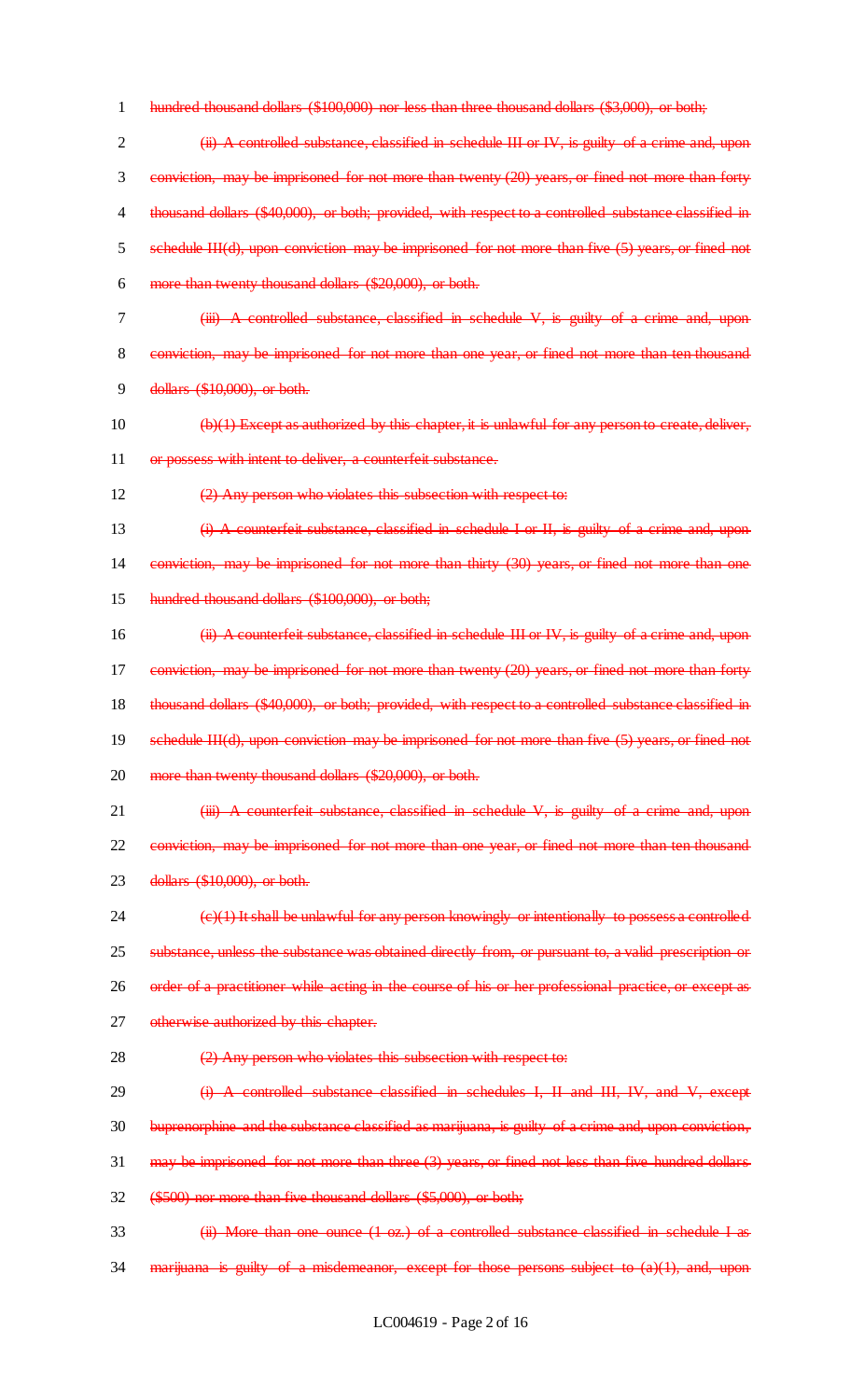- 1 hundred thousand dollars (\$100,000) nor less than three thousand dollars (\$3,000), or both;
- 2 (ii) A controlled substance, classified in schedule III or IV, is guilty of a crime and, upon 3 conviction, may be imprisoned for not more than twenty (20) years, or fined not more than forty 4 thousand dollars (\$40,000), or both; provided, with respect to a controlled substance classified in 5 schedule III(d), upon conviction may be imprisoned for not more than five (5) years, or fined not 6 more than twenty thousand dollars (\$20,000), or both.
- 
- 7 (iii) A controlled substance, classified in schedule V, is guilty of a crime and, upon 8 conviction, may be imprisoned for not more than one year, or fined not more than ten thousand
- 9 dollars (\$10,000), or both.
- 10 (b)(1) Except as authorized by this chapter, it is unlawful for any person to create, deliver, 11 or possess with intent to deliver, a counterfeit substance.
- 12 (2) Any person who violates this subsection with respect to:
- 13 (i) A counterfeit substance, classified in schedule I or II, is guilty of a crime and, upon 14 conviction, may be imprisoned for not more than thirty (30) years, or fined not more than one 15 hundred thousand dollars (\$100,000), or both;
- 16 **(ii) A counterfeit substance, classified in schedule III or IV, is guilty of a crime and, upon** 17 conviction, may be imprisoned for not more than twenty (20) years, or fined not more than forty 18 thousand dollars (\$40,000), or both; provided, with respect to a controlled substance classified in 19 schedule III(d), upon conviction may be imprisoned for not more than five (5) years, or fined not 20 more than twenty thousand dollars (\$20,000), or both.
- 21 (iii) A counterfeit substance, classified in schedule V, is guilty of a crime and, upon 22 conviction, may be imprisoned for not more than one year, or fined not more than ten thousand 23 dollars (\$10,000), or both.
- 24 (c)(1) It shall be unlawful for any person knowingly or intentionally to possess a controlled 25 substance, unless the substance was obtained directly from, or pursuant to, a valid prescription or 26 order of a practitioner while acting in the course of his or her professional practice, or except as 27 otherwise authorized by this chapter.
- 28  $(2)$  Any person who violates this subsection with respect to:
- 29 (i) A controlled substance classified in schedules I, II and III, IV, and V, except 30 buprenorphine and the substance classified as marijuana, is guilty of a crime and, upon conviction,  $31$  may be imprisoned for not more than three  $(3)$  years, or fined not less than five hundred dollars 32 (\$500) nor more than five thousand dollars (\$5,000), or both;
- 33 (ii) More than one ounce (1 oz.) of a controlled substance classified in schedule I as 34 marijuana is guilty of a misdemeanor, except for those persons subject to (a)(1), and, upon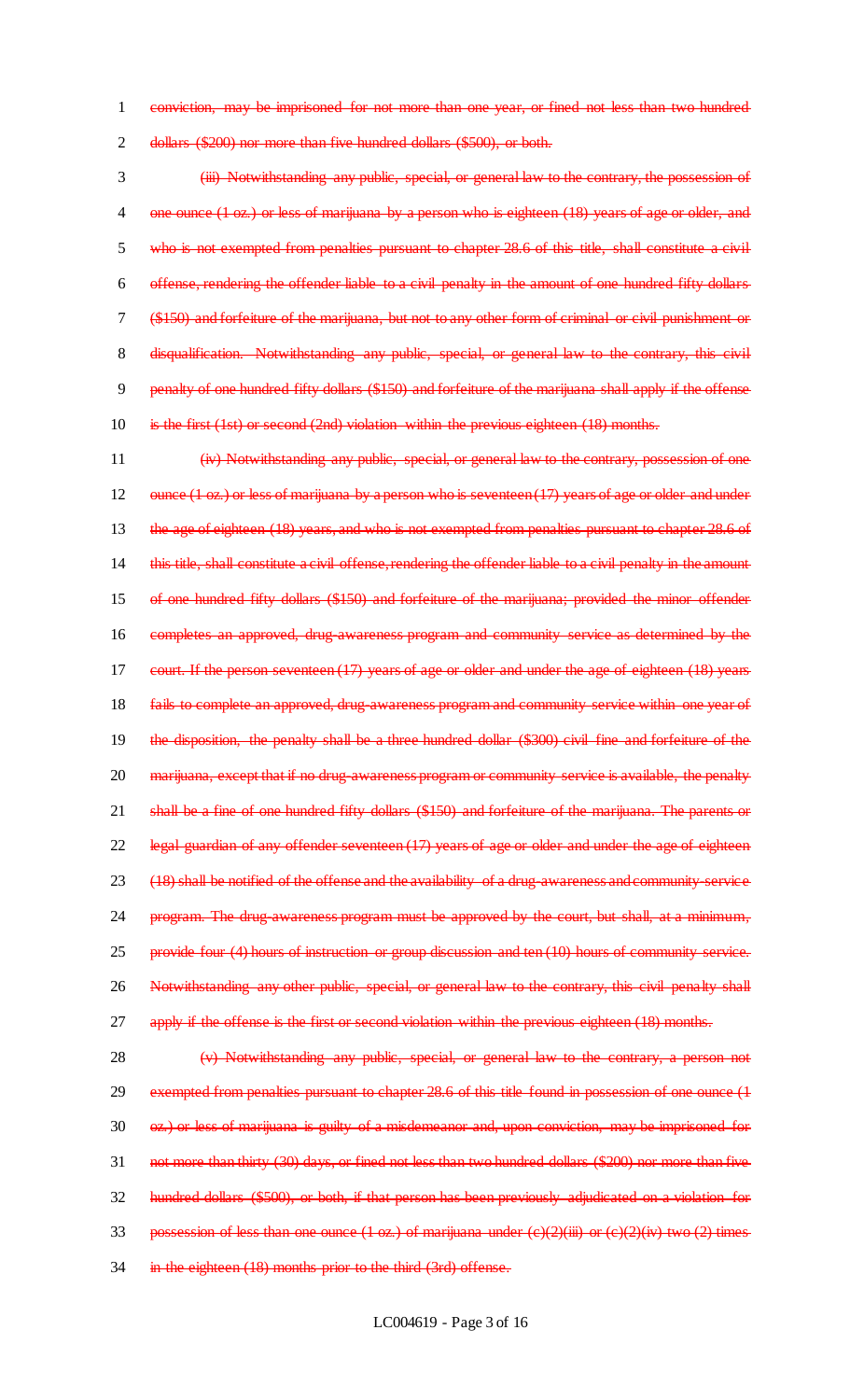1 conviction, may be imprisoned for not more than one year, or fined not less than two hundred 2 dollars (\$200) nor more than five hundred dollars (\$500), or both.

3 (iii) Notwithstanding any public, special, or general law to the contrary, the possession of 4 one ounce (1 oz.) or less of marijuana by a person who is eighteen (18) years of age or older, and 5 who is not exempted from penalties pursuant to chapter 28.6 of this title, shall constitute a civil 6 offense, rendering the offender liable to a civil penalty in the amount of one hundred fifty dollars 7 (\$150) and forfeiture of the marijuana, but not to any other form of criminal or civil punishment or 8 disqualification. Notwithstanding any public, special, or general law to the contrary, this civil 9 penalty of one hundred fifty dollars (\$150) and forfeiture of the marijuana shall apply if the offense 10 is the first (1st) or second (2nd) violation within the previous eighteen (18) months.

11 (iv) Notwithstanding any public, special, or general law to the contrary, possession of one 12 ounce (1 oz.) or less of marijuana by a person who is seventeen (17) years of age or older and under 13 the age of eighteen (18) years, and who is not exempted from penalties pursuant to chapter 28.6 of 14 this title, shall constitute a civil offense, rendering the offender liable to a civil penalty in the amount 15 of one hundred fifty dollars (\$150) and forfeiture of the marijuana; provided the minor offender 16 completes an approved, drug-awareness program and community service as determined by the 17 court. If the person seventeen (17) years of age or older and under the age of eighteen (18) years 18 fails to complete an approved, drug-awareness program and community service within one year of 19 the disposition, the penalty shall be a three hundred dollar (\$300) civil fine and forfeiture of the 20 marijuana, except that if no drug-awareness program or community service is available, the penalty 21 shall be a fine of one hundred fifty dollars (\$150) and forfeiture of the marijuana. The parents or 22 legal guardian of any offender seventeen (17) years of age or older and under the age of eighteen 23 (18) shall be notified of the offense and the availability of a drug-awareness and community-service 24 program. The drug-awareness program must be approved by the court, but shall, at a minimum, 25 provide four (4) hours of instruction or group discussion and ten (10) hours of community service. 26 Notwithstanding any other public, special, or general law to the contrary, this civil penalty shall 27 apply if the offense is the first or second violation within the previous eighteen (18) months.

28 (v) Notwithstanding any public, special, or general law to the contrary, a person not 29 exempted from penalties pursuant to chapter 28.6 of this title found in possession of one ounce (1 30 oz.) or less of marijuana is guilty of a misdemeanor and, upon conviction, may be imprisoned for 31 not more than thirty (30) days, or fined not less than two hundred dollars (\$200) nor more than five 32 hundred dollars (\$500), or both, if that person has been previously adjudicated on a violation for 33 possession of less than one ounce  $(1 \text{ oz.})$  of marijuana under  $(c)(2)(iii)$  or  $(c)(2)(iv)$  two  $(2)$  times 34 in the eighteen (18) months prior to the third (3rd) offense.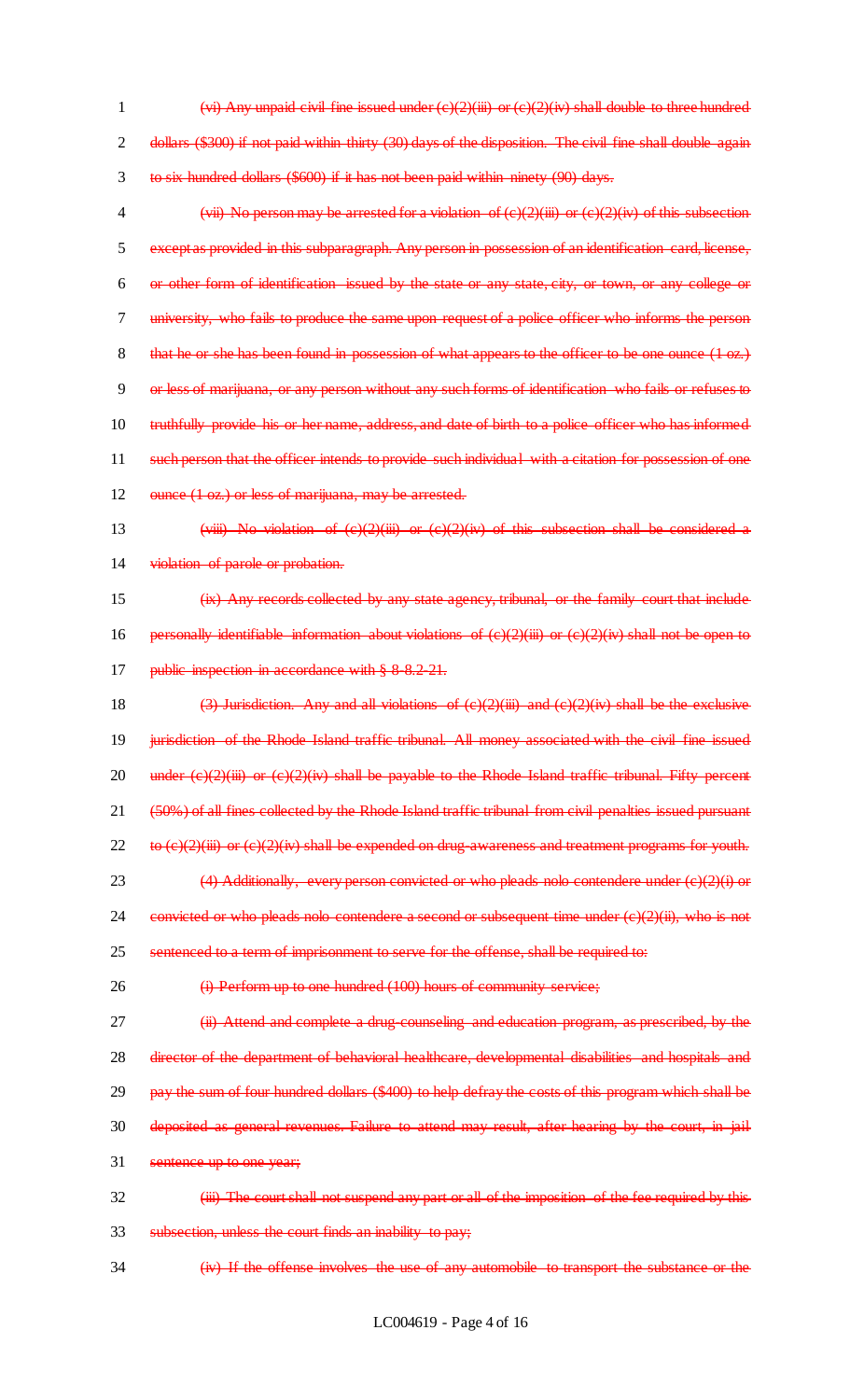1  $(v<sub>i</sub>)$  Any unpaid civil fine issued under (c)(2)(iii) or (c)(2)(iv) shall double to three hundred 2 dollars (\$300) if not paid within thirty (30) days of the disposition. The civil fine shall double again 3 to six hundred dollars (\$600) if it has not been paid within ninety (90) days.

4 (vii) No person may be arrested for a violation of  $(c)(2)(iii)$  or  $(c)(2)(iv)$  of this subsection except as provided in this subparagraph. Any person in possession of an identification card, license, or other form of identification issued by the state or any state, city, or town, or any college or university, who fails to produce the same upon request of a police officer who informs the person 8 that he or she has been found in possession of what appears to the officer to be one ounce (1 oz.) or less of marijuana, or any person without any such forms of identification who fails or refuses to 10 truthfully provide his or her name, address, and date of birth to a police officer who has informed such person that the officer intends to provide such individual with a citation for possession of one

12 ounce (1 oz.) or less of marijuana, may be arrested.

- 13 (viii) No violation of  $(c)(2)(iii)$  or  $(c)(2)(iv)$  of this subsection shall be considered a 14 violation of parole or probation.
- 15 (ix) Any records collected by any state agency, tribunal, or the family court that include 16 personally identifiable information about violations of  $(e)(2)(iii)$  or  $(e)(2)(iv)$  shall not be open to 17 **bublic inspection in accordance with § 8-8.2-21.**

18 (3) Jurisdiction. Any and all violations of  $(c)(2)(iii)$  and  $(c)(2)(iv)$  shall be the exclusive 19 jurisdiction of the Rhode Island traffic tribunal. All money associated with the civil fine issued 20 under  $(e)(2)(iii)$  or  $(e)(2)(iv)$  shall be payable to the Rhode Island traffic tribunal. Fifty percent 21 (50%) of all fines collected by the Rhode Island traffic tribunal from civil penalties issued pursuant 22 to  $(e)(2)(iii)$  or  $(e)(2)(iv)$  shall be expended on drug-awareness and treatment programs for youth. 23 (4) Additionally, every person convicted or who pleads nolo contendere under  $(e)(2)(i)$  or 24 convicted or who pleads nolo contendere a second or subsequent time under  $(e)(2)(ii)$ , who is not 25 sentenced to a term of imprisonment to serve for the offense, shall be required to:

26 (i) Perform up to one hundred (100) hours of community service;

27 **(ii)** Attend and complete a drug-counseling and education program, as prescribed, by the 28 director of the department of behavioral healthcare, developmental disabilities and hospitals and 29 pay the sum of four hundred dollars (\$400) to help defray the costs of this program which shall be 30 deposited as general revenues. Failure to attend may result, after hearing by the court, in jail

31 sentence up to one year;

- 32 **(iii)** The court shall not suspend any part or all of the imposition of the fee required by this 33 subsection, unless the court finds an inability to pay;
- 34 (iv) If the offense involves the use of any automobile to transport the substance or the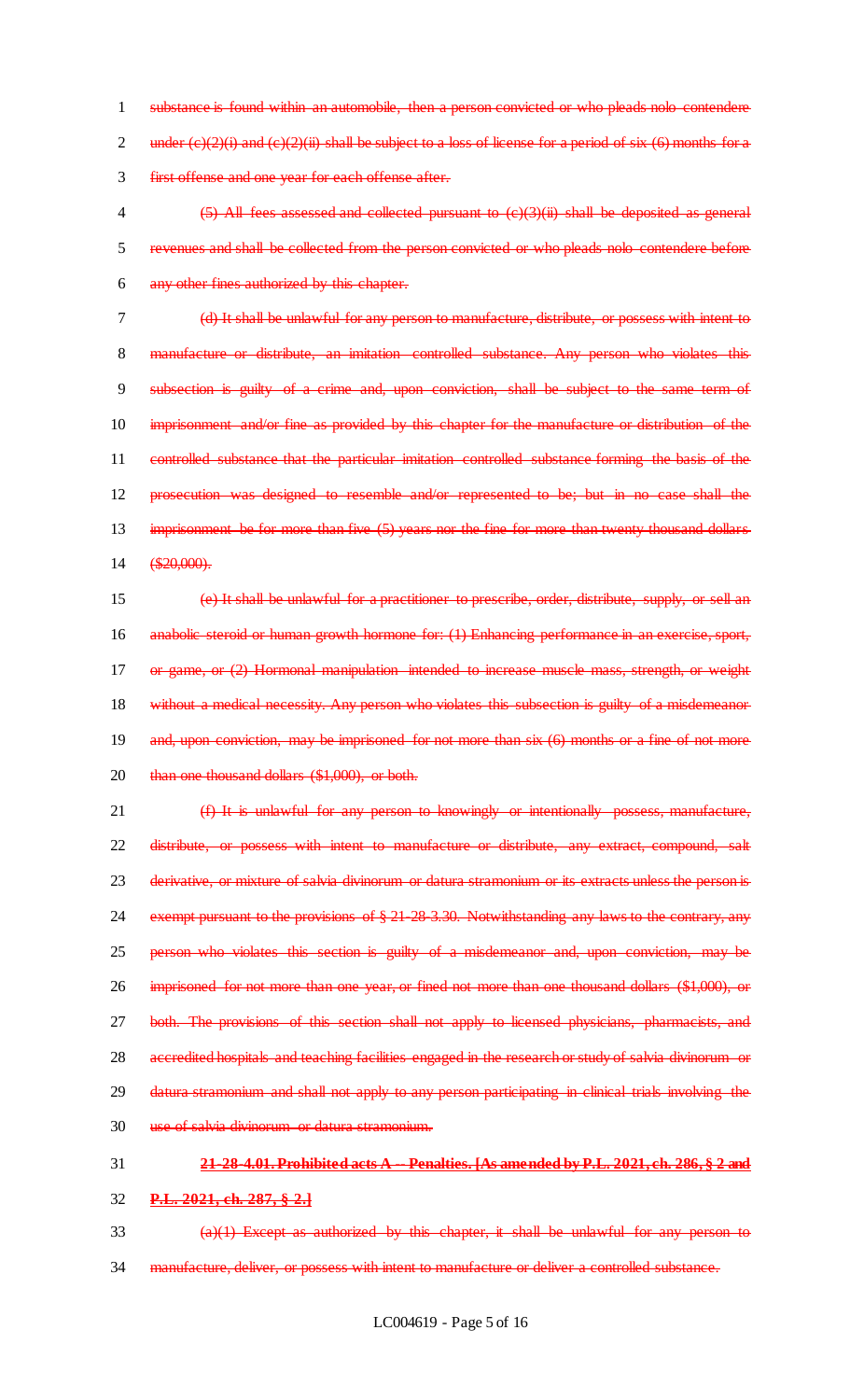1 substance is found within an automobile, then a person convicted or who pleads nolo contendere 2 under  $(e)(2)(i)$  and  $(e)(2)(ii)$  shall be subject to a loss of license for a period of six  $(6)$  months for a 3 first offense and one year for each offense after.

4 (5) All fees assessed and collected pursuant to (c)(3)(ii) shall be deposited as general 5 revenues and shall be collected from the person convicted or who pleads nolo contendere before 6 any other fines authorized by this chapter.

7 (d) It shall be unlawful for any person to manufacture, distribute, or possess with intent to 8 manufacture or distribute, an imitation controlled substance. Any person who violates this 9 subsection is guilty of a crime and, upon conviction, shall be subject to the same term of 10 imprisonment and/or fine as provided by this chapter for the manufacture or distribution of the 11 controlled substance that the particular imitation controlled substance forming the basis of the 12 prosecution was designed to resemble and/or represented to be; but in no case shall the 13 imprisonment be for more than five (5) years nor the fine for more than twenty thousand dollars 14 (\$20,000).

15 (e) It shall be unlawful for a practitioner to prescribe, order, distribute, supply, or sell an 16 anabolic steroid or human growth hormone for: (1) Enhancing performance in an exercise, sport, 17 or game, or (2) Hormonal manipulation intended to increase muscle mass, strength, or weight 18 without a medical necessity. Any person who violates this subsection is guilty of a misdemeanor 19 and, upon conviction, may be imprisoned for not more than six (6) months or a fine of not more 20 than one thousand dollars (\$1,000), or both.

 (f) It is unlawful for any person to knowingly or intentionally possess, manufacture, distribute, or possess with intent to manufacture or distribute, any extract, compound, salt derivative, or mixture of salvia divinorum or datura stramonium or its extracts unless the person is exempt pursuant to the provisions of § 21-28-3.30. Notwithstanding any laws to the contrary, any person who violates this section is guilty of a misdemeanor and, upon conviction, may be imprisoned for not more than one year, or fined not more than one thousand dollars (\$1,000), or both. The provisions of this section shall not apply to licensed physicians, pharmacists, and 28 accredited hospitals and teaching facilities engaged in the research or study of salvia divinorum or 29 datura stramonium and shall not apply to any person participating in clinical trials involving the use of salvia divinorum or datura stramonium.

# 31 **21-28-4.01. Prohibited acts A -- Penalties. [As amended by P.L. 2021, ch. 286, § 2 and**

## 32 **P.L. 2021, ch. 287, § 2.]**

 $(a)(1)$  Except as authorized by this chapter, it shall be unlawful for any person to 34 manufacture, deliver, or possess with intent to manufacture or deliver a controlled substance.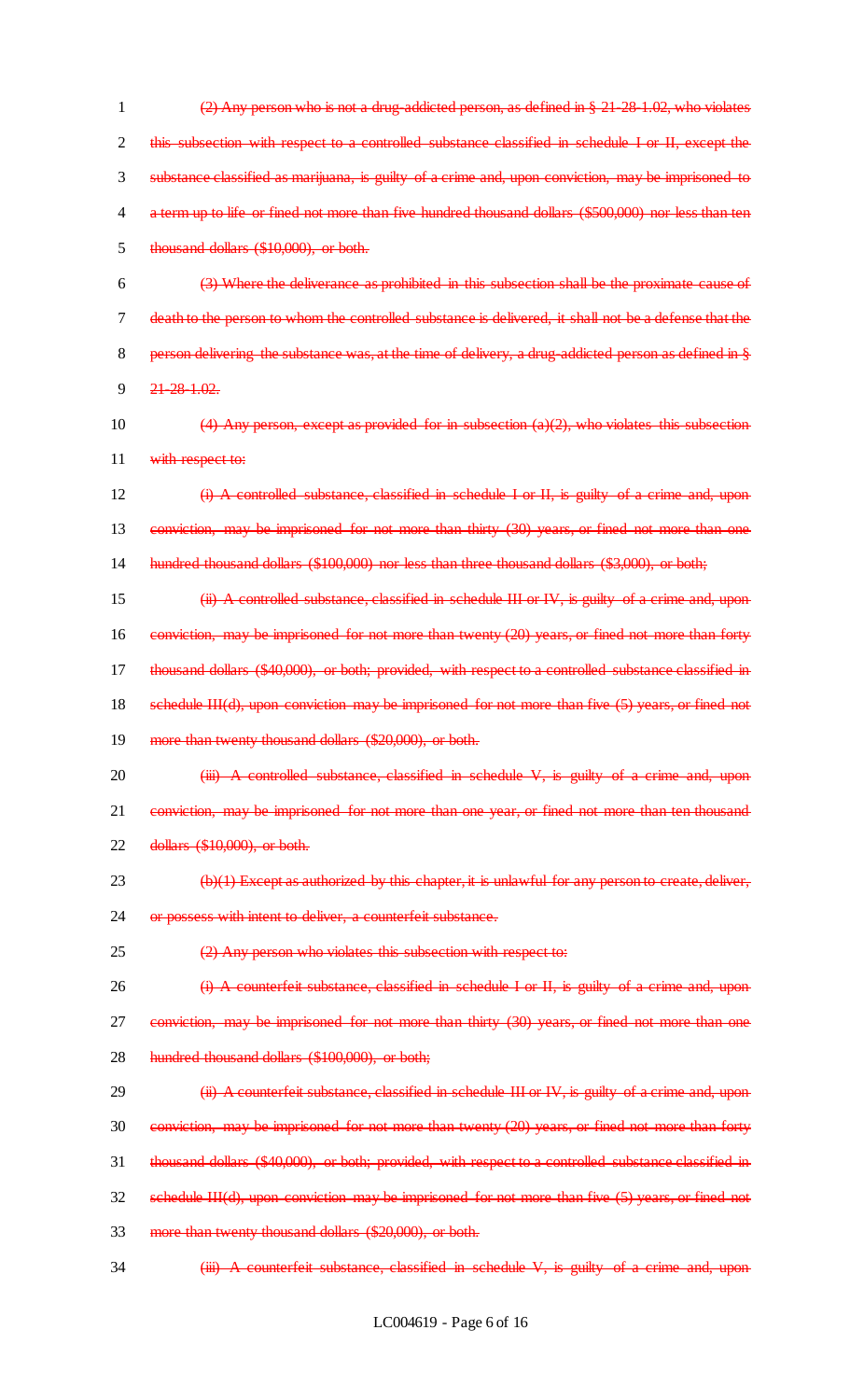$(2)$  Any person who is not a drug-addicted person, as defined in  $\S 21-28-1.02$ , who violates 2 this subsection with respect to a controlled substance classified in schedule I or II, except the substance classified as marijuana, is guilty of a crime and, upon conviction, may be imprisoned to a term up to life or fined not more than five hundred thousand dollars (\$500,000) nor less than ten thousand dollars (\$10,000), or both.

 (3) Where the deliverance as prohibited in this subsection shall be the proximate cause of death to the person to whom the controlled substance is delivered, it shall not be a defense that the 8 person delivering the substance was, at the time of delivery, a drug-addicted person as defined in § 21-28-1.02.

- 10  $(4)$  Any person, except as provided for in subsection (a)(2), who violates this subsection 11 with respect to:
- 12 **(i) A controlled substance, classified in schedule I or II, is guilty of a crime and, upon** 13 conviction, may be imprisoned for not more than thirty (30) years, or fined not more than one 14 hundred thousand dollars (\$100,000) nor less than three thousand dollars (\$3,000), or both;
- 15 (ii) A controlled substance, classified in schedule III or IV, is guilty of a crime and, upon 16 conviction, may be imprisoned for not more than twenty (20) years, or fined not more than forty 17 thousand dollars (\$40,000), or both; provided, with respect to a controlled substance classified in 18 schedule III(d), upon conviction may be imprisoned for not more than five (5) years, or fined not
- 19 more than twenty thousand dollars (\$20,000), or both.
- 20 (iii) A controlled substance, classified in schedule V, is guilty of a crime and, upon 21 conviction, may be imprisoned for not more than one year, or fined not more than ten thousand 22 dollars (\$10,000), or both.
- $23 \left( b \right)$  (b)(1) Except as authorized by this chapter, it is unlawful for any person to create, deliver,
- 24 or possess with intent to deliver, a counterfeit substance.
- 25 (2) Any person who violates this subsection with respect to:
- 26 (i) A counterfeit substance, classified in schedule I or II, is guilty of a crime and, upon
- 27 conviction, may be imprisoned for not more than thirty (30) years, or fined not more than one
- 28 hundred thousand dollars (\$100,000), or both;
- 29 (ii) A counterfeit substance, classified in schedule III or IV, is guilty of a crime and, upon
- 30 conviction, may be imprisoned for not more than twenty (20) years, or fined not more than forty
- 31 thousand dollars (\$40,000), or both; provided, with respect to a controlled substance classified in
- 32 schedule III(d), upon conviction may be imprisoned for not more than five (5) years, or fined not
- 33 more than twenty thousand dollars (\$20,000), or both.
- 34 (iii) A counterfeit substance, classified in schedule V, is guilty of a crime and, upon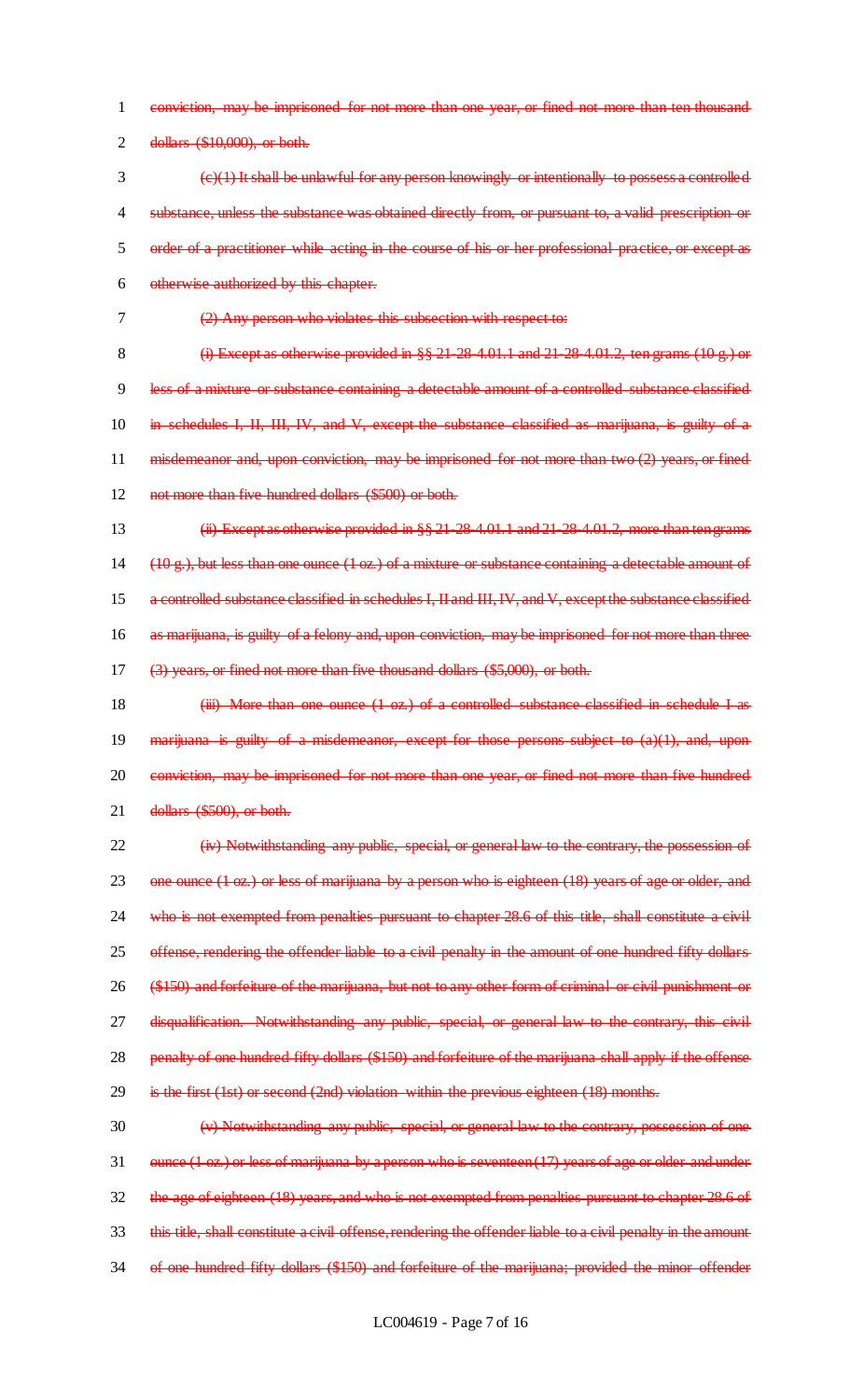1 conviction, may be imprisoned for not more than one year, or fined not more than ten thousand 2 dollars (\$10,000), or both.

- $\{\epsilon\}(t)$  It shall be unlawful for any person knowingly or intentionally to possess a controlled 4 substance, unless the substance was obtained directly from, or pursuant to, a valid prescription or 5 order of a practitioner while acting in the course of his or her professional practice, or except as 6 otherwise authorized by this chapter.
- 7 (2) Any person who violates this subsection with respect to:

8 (i) Except as otherwise provided in  $\S$  21-28-4.01.1 and 21-28-4.01.2, ten grams (10 g.) or 9 less of a mixture or substance containing a detectable amount of a controlled substance classified 10 in schedules I, II, III, IV, and V, except the substance classified as marijuana, is guilty of a 11 misdemeanor and, upon conviction, may be imprisoned for not more than two (2) years, or fined 12 not more than five hundred dollars (\$500) or both.

- 13 (ii) Except as otherwise provided in §§ 21-28-4.01.1 and 21-28-4.01.2, more than ten grams 14 ( $10 \text{ g}$ .), but less than one ounce (1 oz.) of a mixture or substance containing a detectable amount of 15 a controlled substance classified in schedules I, II and III, IV, and V, except the substance classified 16 as marijuana, is guilty of a felony and, upon conviction, may be imprisoned for not more than three 17 (3) years, or fined not more than five thousand dollars (\$5,000), or both.
- 18 **(iii) More than one ounce (1 oz.) of a controlled substance classified in schedule I as** 19 marijuana is guilty of a misdemeanor, except for those persons subject to  $(a)(1)$ , and, upon 20 conviction, may be imprisoned for not more than one year, or fined not more than five hundred 21 dollars (\$500), or both.

22 (iv) Notwithstanding any public, special, or general law to the contrary, the possession of 23 one ounce (1 oz.) or less of marijuana by a person who is eighteen (18) years of age or older, and 24 who is not exempted from penalties pursuant to chapter 28.6 of this title, shall constitute a civil 25 offense, rendering the offender liable to a civil penalty in the amount of one hundred fifty dollars 26 (\$150) and forfeiture of the marijuana, but not to any other form of criminal or civil punishment or 27 disqualification. Notwithstanding any public, special, or general law to the contrary, this civil 28 penalty of one hundred fifty dollars (\$150) and forfeiture of the marijuana shall apply if the offense 29 is the first (1st) or second (2nd) violation within the previous eighteen (18) months.

30 (v) Notwithstanding any public, special, or general law to the contrary, possession of one 31 ounce (1 oz.) or less of marijuana by a person who is seventeen (17) years of age or older and under 32 the age of eighteen (18) years, and who is not exempted from penalties pursuant to chapter 28.6 of 33 this title, shall constitute a civil offense, rendering the offender liable to a civil penalty in the amount 34 of one hundred fifty dollars (\$150) and forfeiture of the marijuana; provided the minor offender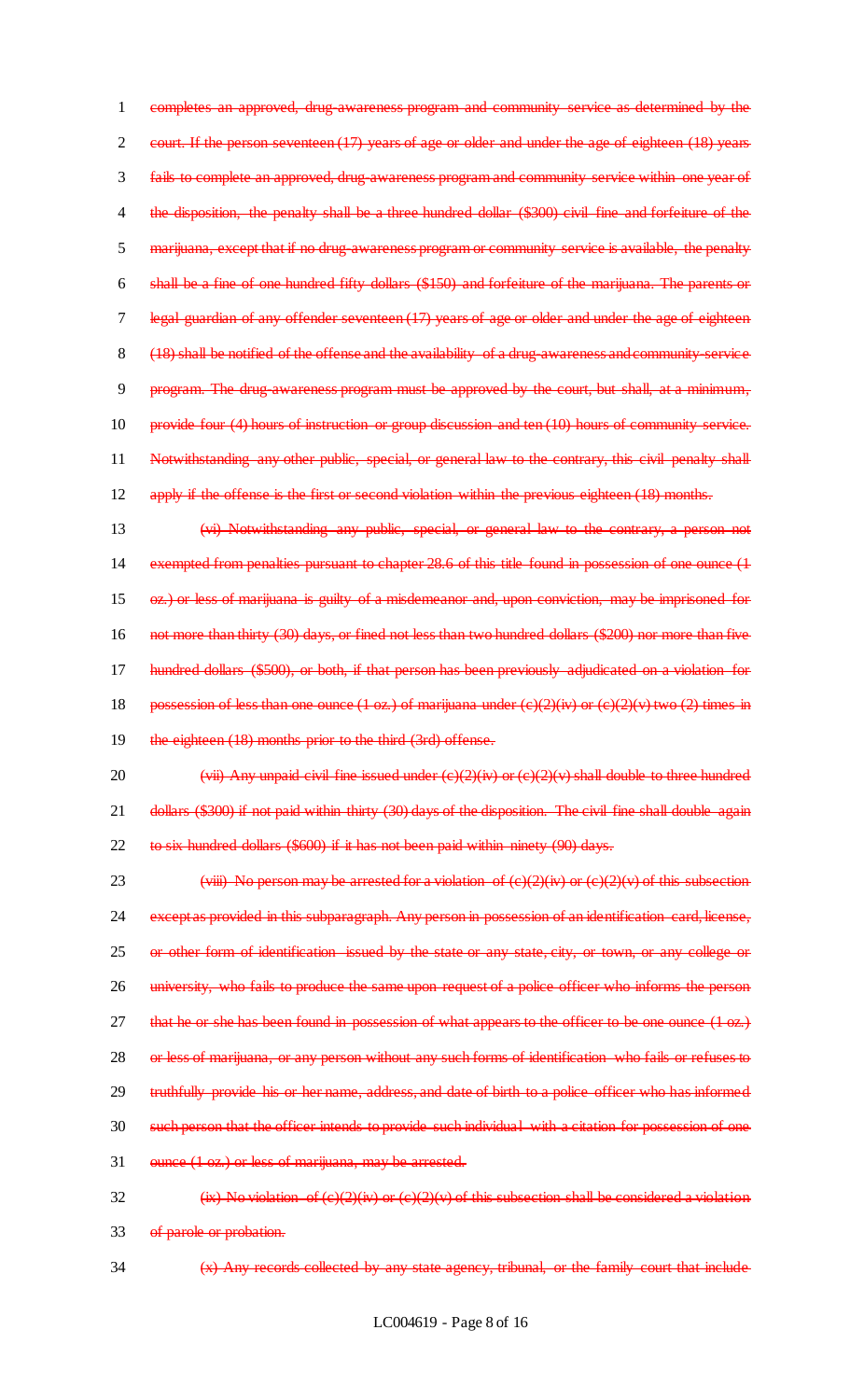1 completes an approved, drug-awareness program and community service as determined by the 2 court. If the person seventeen (17) years of age or older and under the age of eighteen (18) years 3 fails to complete an approved, drug-awareness program and community service within one year of 4 the disposition, the penalty shall be a three hundred dollar (\$300) civil fine and forfeiture of the 5 marijuana, except that if no drug-awareness program or community service is available, the penalty 6 shall be a fine of one hundred fifty dollars (\$150) and forfeiture of the marijuana. The parents or 7 legal guardian of any offender seventeen (17) years of age or older and under the age of eighteen 8 (18) shall be notified of the offense and the availability of a drug-awareness and community-service 9 program. The drug awareness program must be approved by the court, but shall, at a minimum, 10 provide four (4) hours of instruction or group discussion and ten (10) hours of community service. 11 Notwithstanding any other public, special, or general law to the contrary, this civil penalty shall 12 apply if the offense is the first or second violation within the previous eighteen (18) months.

- 13 (vi) Notwithstanding any public, special, or general law to the contrary, a person not 14 exempted from penalties pursuant to chapter 28.6 of this title found in possession of one ounce (1 15 oz.) or less of marijuana is guilty of a misdemeanor and, upon conviction, may be imprisoned for 16 not more than thirty (30) days, or fined not less than two hundred dollars (\$200) nor more than five 17 hundred dollars (\$500), or both, if that person has been previously adjudicated on a violation for 18 possession of less than one ounce  $(1 \text{ oz.})$  of marijuana under  $(c)(2)(iv)$  or  $(c)(2)(v)$  two  $(2)$  times in 19 the eighteen (18) months prior to the third (3rd) offense.
- 20 (vii) Any unpaid civil fine issued under  $(e)(2)(iv)$  or  $(e)(2)(v)$  shall double to three hundred 21 dollars (\$300) if not paid within thirty (30) days of the disposition. The civil fine shall double again 22 to six hundred dollars (\$600) if it has not been paid within ninety (90) days.

23  $\overrightarrow{(viii)}$  No person may be arrested for a violation of  $\overrightarrow{(e)}(2)(\overrightarrow{w})$  or  $\overrightarrow{(e)}(2)(\overrightarrow{v})$  of this subsection 24 except as provided in this subparagraph. Any person in possession of an identification card, license, 25 or other form of identification issued by the state or any state, city, or town, or any college or 26 university, who fails to produce the same upon request of a police officer who informs the person 27 that he or she has been found in possession of what appears to the officer to be one ounce (1 oz.) 28 or less of marijuana, or any person without any such forms of identification who fails or refuses to 29 truthfully provide his or her name, address, and date of birth to a police officer who has informed 30 such person that the officer intends to provide such individual with a citation for possession of one 31 ounce (1 oz.) or less of marijuana, may be arrested.

32  $\overrightarrow{(ix)}$  No violation of  $\overrightarrow{(e)}$  $\overrightarrow{(4)}$  or  $\overrightarrow{(e)}$  $\overrightarrow{(2)}$  $\overrightarrow{(v)}$  of this subsection shall be considered a violation 33 of parole or probation.

34 (x) Any records collected by any state agency, tribunal, or the family court that include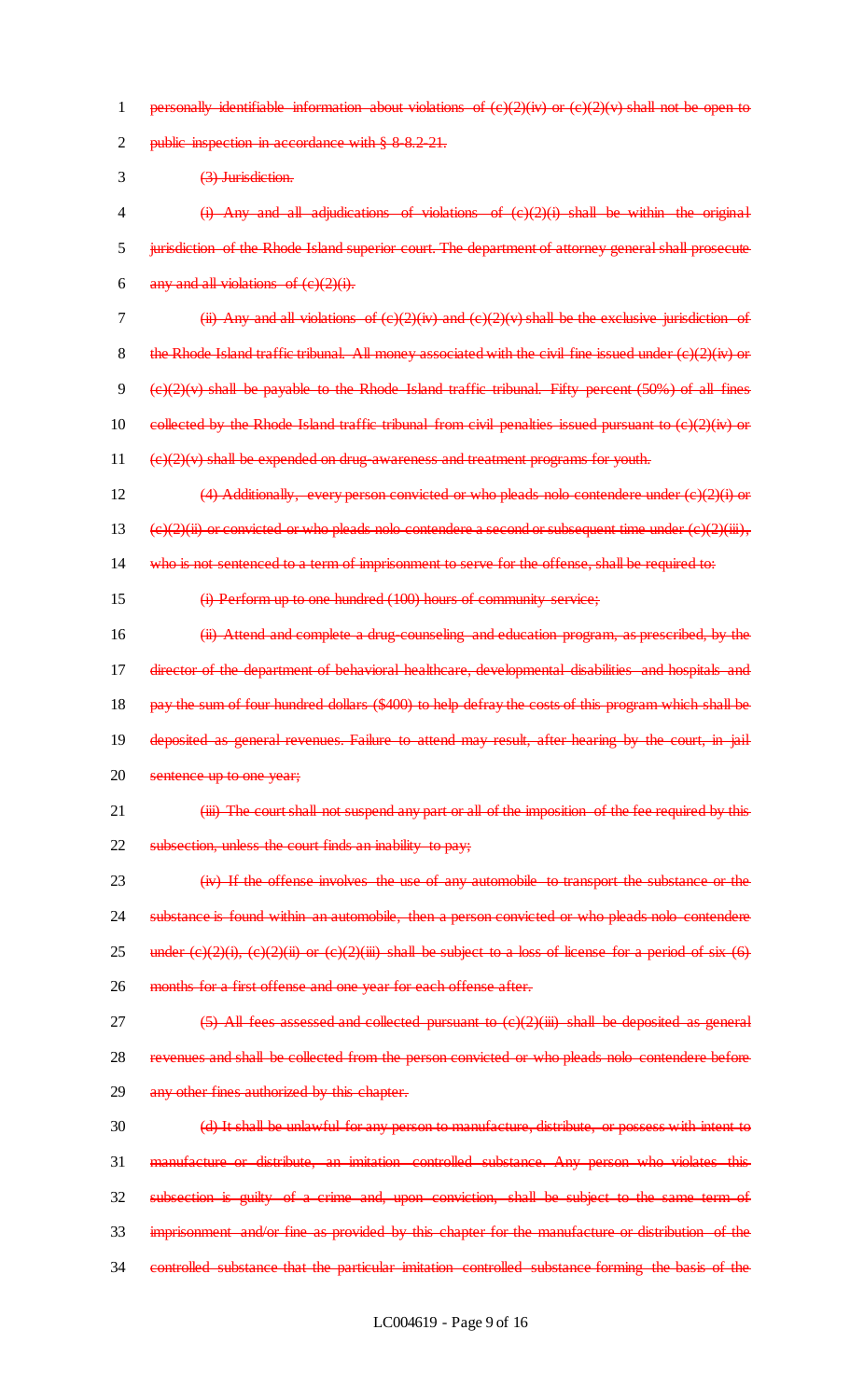1 personally identifiable information about violations of  $(e)(2)(iv)$  or  $(e)(2)(v)$  shall not be open to 2 public inspection in accordance with § 8-8.2-21. 3 (3) Jurisdiction. 4 (i) Any and all adjudications of violations of (c)(2)(i) shall be within the original 5 jurisdiction of the Rhode Island superior court. The department of attorney general shall prosecute 6 any and all violations of  $(e)(2)(i)$ . 7 (ii) Any and all violations of  $(e)(2)(iv)$  and  $(e)(2)(v)$  shall be the exclusive jurisdiction of 8 the Rhode Island traffic tribunal. All money associated with the civil fine issued under  $(c)(2)(iv)$  or 9 (e)(2)(v) shall be payable to the Rhode Island traffic tribunal. Fifty percent (50%) of all fines 10 collected by the Rhode Island traffic tribunal from civil penalties issued pursuant to  $(e)(2)(iv)$  or  $11$  (e)(2)(v) shall be expended on drug-awareness and treatment programs for youth. 12 (4) Additionally, every person convicted or who pleads nolo contendere under  $(e)(2)(i)$  or 13 (e)(2)(ii) or convicted or who pleads nolo contendere a second or subsequent time under (e)(2)(iii), 14 who is not sentenced to a term of imprisonment to serve for the offense, shall be required to: 15 (i) Perform up to one hundred (100) hours of community service; 16 (ii) Attend and complete a drug-counseling and education program, as prescribed, by the 17 director of the department of behavioral healthcare, developmental disabilities and hospitals and 18 pay the sum of four hundred dollars (\$400) to help defray the costs of this program which shall be 19 deposited as general revenues. Failure to attend may result, after hearing by the court, in jail 20 sentence up to one year; 21 (iii) The court shall not suspend any part or all of the imposition of the fee required by this 22 subsection, unless the court finds an inability to pay; 23 (iv) If the offense involves the use of any automobile to transport the substance or the 24 substance is found within an automobile, then a person convicted or who pleads nolo contendere 25 under  $(e)(2)(i)$ ,  $(e)(2)(ii)$  or  $(e)(2)(iii)$  shall be subject to a loss of license for a period of six  $(6)$ 26 months for a first offense and one year for each offense after. 27  $(5)$  All fees assessed and collected pursuant to  $(e)(2)(iii)$  shall be deposited as general 28 revenues and shall be collected from the person convicted or who pleads nolo contendere before 29 any other fines authorized by this chapter. 30 (d) It shall be unlawful for any person to manufacture, distribute, or possess with intent to 31 manufacture or distribute, an imitation controlled substance. Any person who violates this 32 subsection is guilty of a crime and, upon conviction, shall be subject to the same term of 33 imprisonment and/or fine as provided by this chapter for the manufacture or distribution of the 34 controlled substance that the particular imitation controlled substance forming the basis of the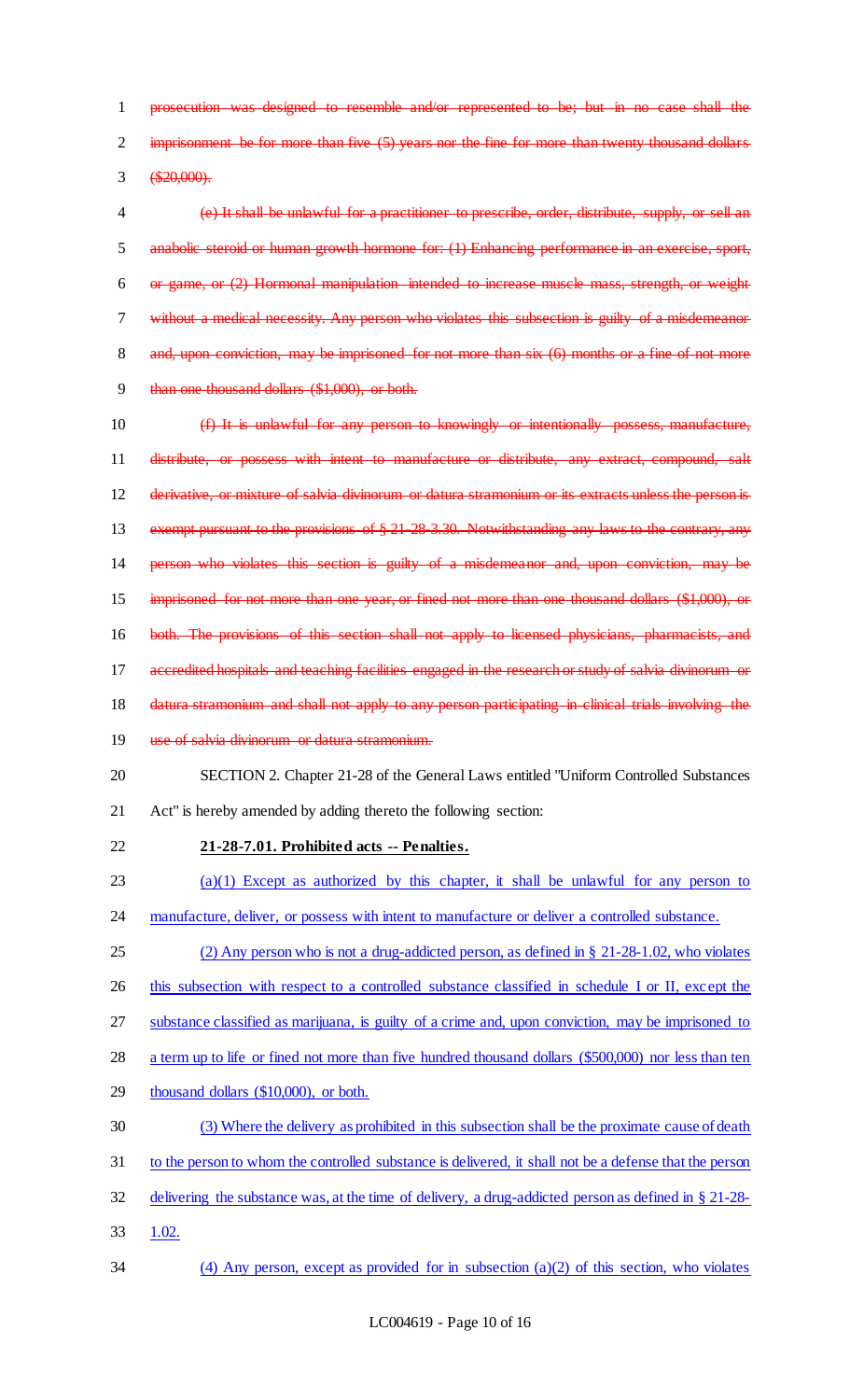prosecution was designed to resemble and/or represented to be; but in no case shall the 2 imprisonment be for more than five (5) years nor the fine for more than twenty thousand dollars  $3 \quad \textcircled{4}20,000$ 

 (e) It shall be unlawful for a practitioner to prescribe, order, distribute, supply, or sell an anabolic steroid or human growth hormone for: (1) Enhancing performance in an exercise, sport, or game, or (2) Hormonal manipulation intended to increase muscle mass, strength, or weight without a medical necessity. Any person who violates this subsection is guilty of a misdemeanor 8 and, upon conviction, may be imprisoned for not more than six (6) months or a fine of not more than one thousand dollars (\$1,000), or both.

 (f) It is unlawful for any person to knowingly or intentionally possess, manufacture, distribute, or possess with intent to manufacture or distribute, any extract, compound, salt derivative, or mixture of salvia divinorum or datura stramonium or its extracts unless the person is 13 exempt pursuant to the provisions of § 21-28-3.30. Notwithstanding any laws to the contrary, any person who violates this section is guilty of a misdemeanor and, upon conviction, may be imprisoned for not more than one year, or fined not more than one thousand dollars (\$1,000), or both. The provisions of this section shall not apply to licensed physicians, pharmacists, and 17 accredited hospitals and teaching facilities engaged in the research or study of salvia divinorum 18 datura stramonium and shall not apply to any person participating in clinical trials involving the 19 use of salvia divinorum or datura stramonium. SECTION 2. Chapter 21-28 of the General Laws entitled "Uniform Controlled Substances Act" is hereby amended by adding thereto the following section: **21-28-7.01. Prohibited acts -- Penalties.**   $(a)(1)$  Except as authorized by this chapter, it shall be unlawful for any person to 24 manufacture, deliver, or possess with intent to manufacture or deliver a controlled substance. (2) Any person who is not a drug-addicted person, as defined in § 21-28-1.02, who violates

this subsection with respect to a controlled substance classified in schedule I or II, except the

substance classified as marijuana, is guilty of a crime and, upon conviction, may be imprisoned to

a term up to life or fined not more than five hundred thousand dollars (\$500,000) nor less than ten

- thousand dollars (\$10,000), or both.
- (3) Where the delivery as prohibited in this subsection shall be the proximate cause of death
- to the person to whom the controlled substance is delivered, it shall not be a defense that the person
- delivering the substance was, at the time of delivery, a drug-addicted person as defined in § 21-28-
- 1.02.
- (4) Any person, except as provided for in subsection (a)(2) of this section, who violates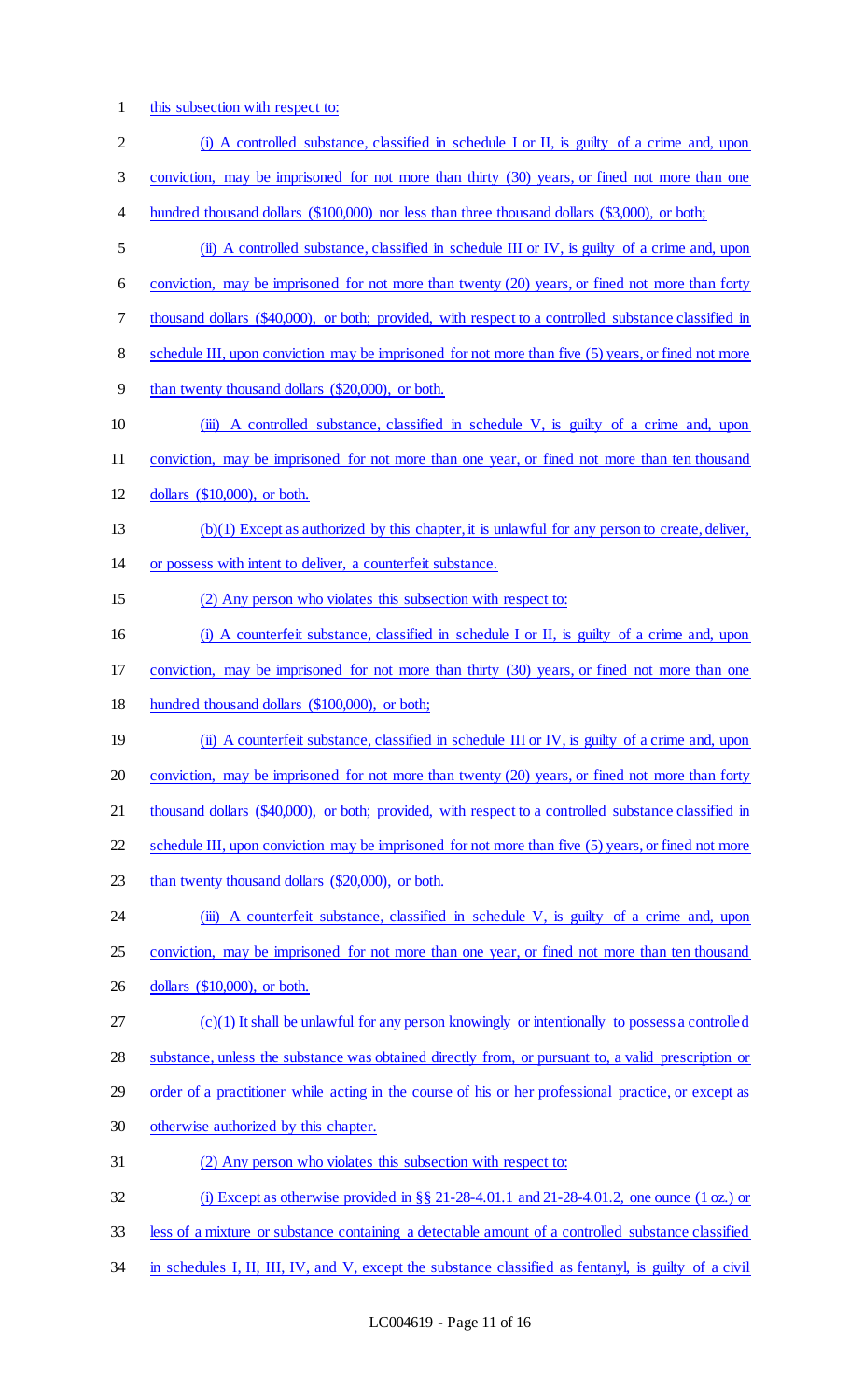1 this subsection with respect to:

| $\overline{c}$ | (i) A controlled substance, classified in schedule I or II, is guilty of a crime and, upon            |
|----------------|-------------------------------------------------------------------------------------------------------|
| 3              | conviction, may be imprisoned for not more than thirty (30) years, or fined not more than one         |
| 4              | hundred thousand dollars (\$100,000) nor less than three thousand dollars (\$3,000), or both;         |
| 5              | (ii) A controlled substance, classified in schedule III or IV, is guilty of a crime and, upon         |
| 6              | conviction, may be imprisoned for not more than twenty (20) years, or fined not more than forty       |
| 7              | thousand dollars (\$40,000), or both; provided, with respect to a controlled substance classified in  |
| 8              | schedule III, upon conviction may be imprisoned for not more than five (5) years, or fined not more   |
| 9              | than twenty thousand dollars (\$20,000), or both.                                                     |
| 10             | (iii) A controlled substance, classified in schedule V, is guilty of a crime and, upon                |
| 11             | conviction, may be imprisoned for not more than one year, or fined not more than ten thousand         |
| 12             | dollars $(\$10,000)$ , or both.                                                                       |
| 13             | (b)(1) Except as authorized by this chapter, it is unlawful for any person to create, deliver,        |
| 14             | or possess with intent to deliver, a counterfeit substance.                                           |
| 15             | (2) Any person who violates this subsection with respect to:                                          |
| 16             | (i) A counterfeit substance, classified in schedule I or II, is guilty of a crime and, upon           |
| 17             | conviction, may be imprisoned for not more than thirty (30) years, or fined not more than one         |
| 18             | hundred thousand dollars (\$100,000), or both;                                                        |
| 19             | (ii) A counterfeit substance, classified in schedule III or IV, is guilty of a crime and, upon        |
| 20             | conviction, may be imprisoned for not more than twenty (20) years, or fined not more than forty       |
| 21             | thousand dollars (\$40,000), or both; provided, with respect to a controlled substance classified in  |
| 22             | schedule III, upon conviction may be imprisoned for not more than five (5) years, or fined not more   |
| 23             | than twenty thousand dollars (\$20,000), or both.                                                     |
| 24             | (iii) A counterfeit substance, classified in schedule V, is guilty of a crime and, upon               |
| 25             | conviction, may be imprisoned for not more than one year, or fined not more than ten thousand         |
| 26             | dollars $(\$10,000)$ , or both.                                                                       |
| 27             | $(c)(1)$ It shall be unlawful for any person knowingly or intentionally to possess a controlled       |
| 28             | substance, unless the substance was obtained directly from, or pursuant to, a valid prescription or   |
| 29             | order of a practitioner while acting in the course of his or her professional practice, or except as  |
| 30             | otherwise authorized by this chapter.                                                                 |
| 31             | (2) Any person who violates this subsection with respect to:                                          |
| 32             | (i) Except as otherwise provided in §§ 21-28-4.01.1 and 21-28-4.01.2, one ounce (1 oz.) or            |
| 33             | less of a mixture or substance containing a detectable amount of a controlled substance classified    |
| 34             | in schedules I, II, III, IV, and V, except the substance classified as fentanyl, is guilty of a civil |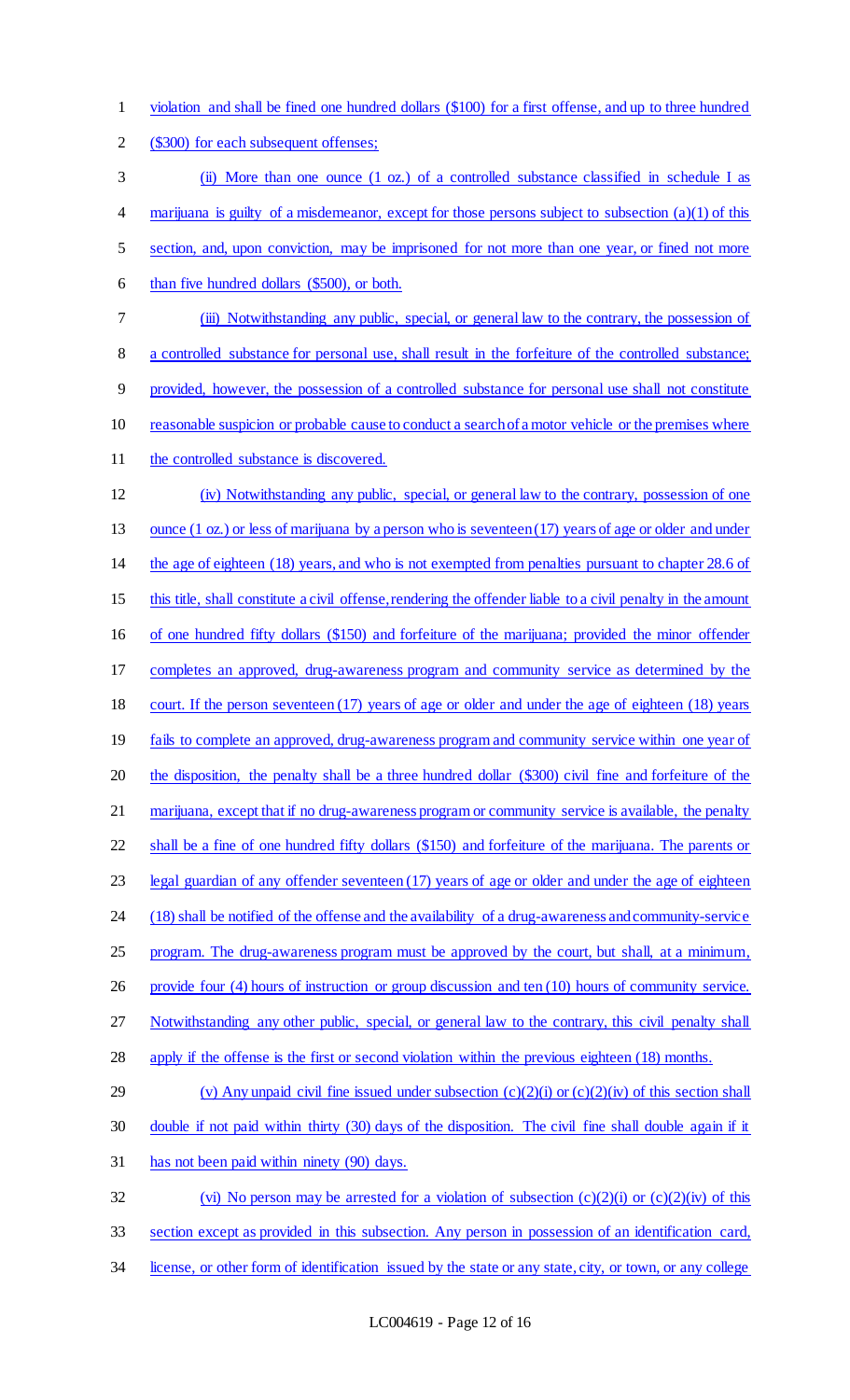violation and shall be fined one hundred dollars (\$100) for a first offense, and up to three hundred (\$300) for each subsequent offenses; (ii) More than one ounce (1 oz.) of a controlled substance classified in schedule I as 4 marijuana is guilty of a misdemeanor, except for those persons subject to subsection (a)(1) of this section, and, upon conviction, may be imprisoned for not more than one year, or fined not more than five hundred dollars (\$500), or both. (iii) Notwithstanding any public, special, or general law to the contrary, the possession of a controlled substance for personal use, shall result in the forfeiture of the controlled substance; provided, however, the possession of a controlled substance for personal use shall not constitute reasonable suspicion or probable cause to conduct a search of a motor vehicle or the premises where 11 the controlled substance is discovered. (iv) Notwithstanding any public, special, or general law to the contrary, possession of one 13 ounce (1 oz.) or less of marijuana by a person who is seventeen (17) years of age or older and under the age of eighteen (18) years, and who is not exempted from penalties pursuant to chapter 28.6 of 15 this title, shall constitute a civil offense, rendering the offender liable to a civil penalty in the amount of one hundred fifty dollars (\$150) and forfeiture of the marijuana; provided the minor offender completes an approved, drug-awareness program and community service as determined by the 18 court. If the person seventeen (17) years of age or older and under the age of eighteen (18) years 19 fails to complete an approved, drug-awareness program and community service within one year of the disposition, the penalty shall be a three hundred dollar (\$300) civil fine and forfeiture of the 21 marijuana, except that if no drug-awareness program or community service is available, the penalty shall be a fine of one hundred fifty dollars (\$150) and forfeiture of the marijuana. The parents or legal guardian of any offender seventeen (17) years of age or older and under the age of eighteen (18) shall be notified of the offense and the availability of a drug-awareness and community-service 25 program. The drug-awareness program must be approved by the court, but shall, at a minimum, provide four (4) hours of instruction or group discussion and ten (10) hours of community service. Notwithstanding any other public, special, or general law to the contrary, this civil penalty shall apply if the offense is the first or second violation within the previous eighteen (18) months. 29 (v) Any unpaid civil fine issued under subsection  $(c)(2)(i)$  or  $(c)(2)(iv)$  of this section shall double if not paid within thirty (30) days of the disposition. The civil fine shall double again if it has not been paid within ninety (90) days. 32 (vi) No person may be arrested for a violation of subsection  $(c)(2)(i)$  or  $(c)(2)(iv)$  of this section except as provided in this subsection. Any person in possession of an identification card, license, or other form of identification issued by the state or any state, city, or town, or any college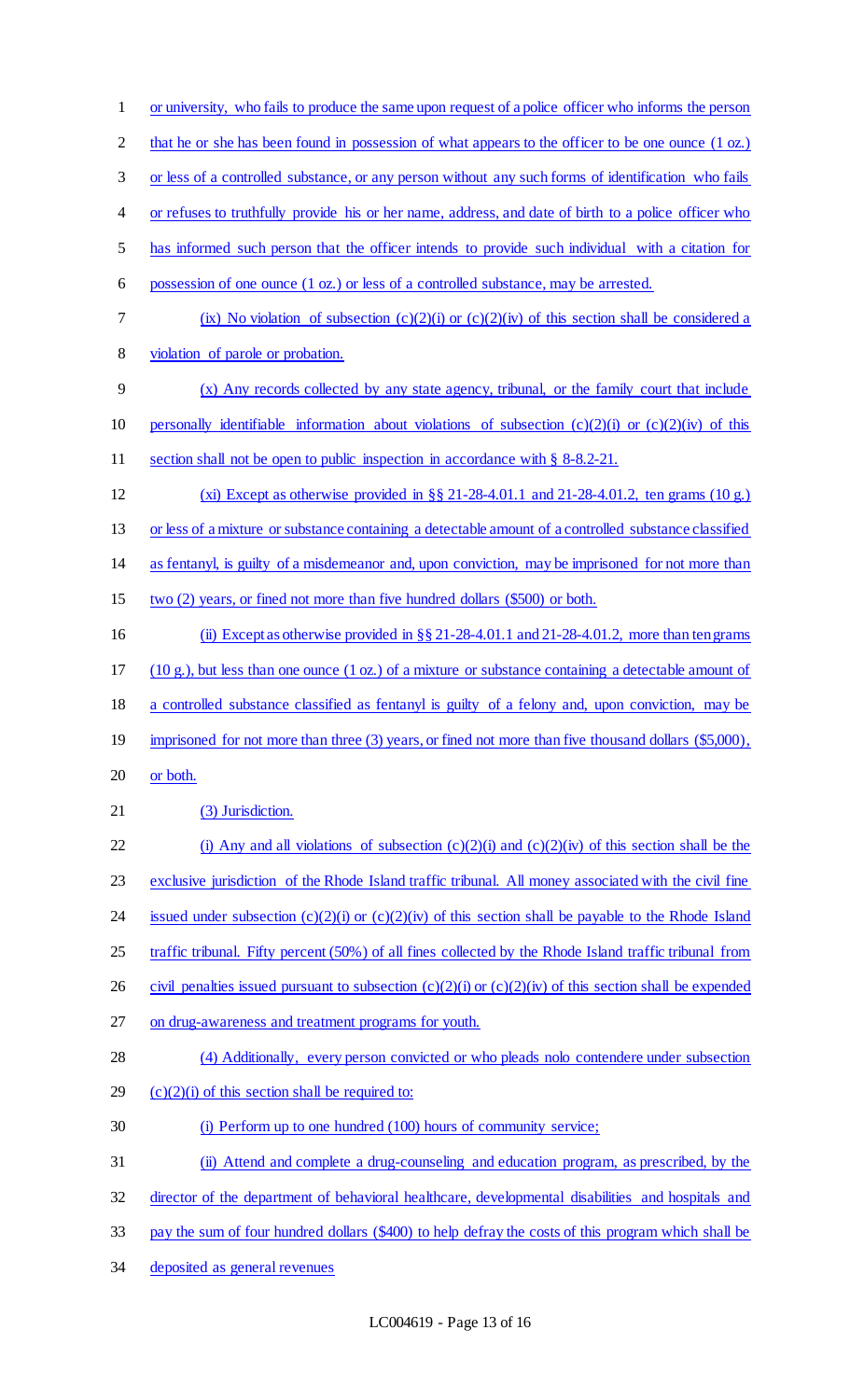or university, who fails to produce the same upon request of a police officer who informs the person 2 that he or she has been found in possession of what appears to the officer to be one ounce (1 oz.) or less of a controlled substance, or any person without any such forms of identification who fails or refuses to truthfully provide his or her name, address, and date of birth to a police officer who has informed such person that the officer intends to provide such individual with a citation for possession of one ounce (1 oz.) or less of a controlled substance, may be arrested. 7 (ix) No violation of subsection  $(c)(2)(i)$  or  $(c)(2)(iv)$  of this section shall be considered a violation of parole or probation. (x) Any records collected by any state agency, tribunal, or the family court that include 10 personally identifiable information about violations of subsection  $(c)(2)(i)$  or  $(c)(2)(iv)$  of this section shall not be open to public inspection in accordance with § 8-8.2-21. (xi) Except as otherwise provided in §§ 21-28-4.01.1 and 21-28-4.01.2, ten grams (10 g.) or less of a mixture or substance containing a detectable amount of a controlled substance classified as fentanyl, is guilty of a misdemeanor and, upon conviction, may be imprisoned for not more than two (2) years, or fined not more than five hundred dollars (\$500) or both. 16 (ii) Except as otherwise provided in  $\S$ § 21-28-4.01.1 and 21-28-4.01.2, more than ten grams 17 (10 g.), but less than one ounce  $(1 \text{ oz.})$  of a mixture or substance containing a detectable amount of a controlled substance classified as fentanyl is guilty of a felony and, upon conviction, may be 19 imprisoned for not more than three (3) years, or fined not more than five thousand dollars (\$5,000), or both. 21 (3) Jurisdiction. 22 (i) Any and all violations of subsection  $(c)(2)(i)$  and  $(c)(2)(iv)$  of this section shall be the exclusive jurisdiction of the Rhode Island traffic tribunal. All money associated with the civil fine 24 issued under subsection  $(c)(2)(i)$  or  $(c)(2)(iv)$  of this section shall be payable to the Rhode Island 25 traffic tribunal. Fifty percent (50%) of all fines collected by the Rhode Island traffic tribunal from 26 civil penalties issued pursuant to subsection  $(c)(2)(i)$  or  $(c)(2)(iv)$  of this section shall be expended on drug-awareness and treatment programs for youth. (4) Additionally, every person convicted or who pleads nolo contendere under subsection  $(c)(2)(i)$  of this section shall be required to: (i) Perform up to one hundred (100) hours of community service; (ii) Attend and complete a drug-counseling and education program, as prescribed, by the director of the department of behavioral healthcare, developmental disabilities and hospitals and pay the sum of four hundred dollars (\$400) to help defray the costs of this program which shall be deposited as general revenues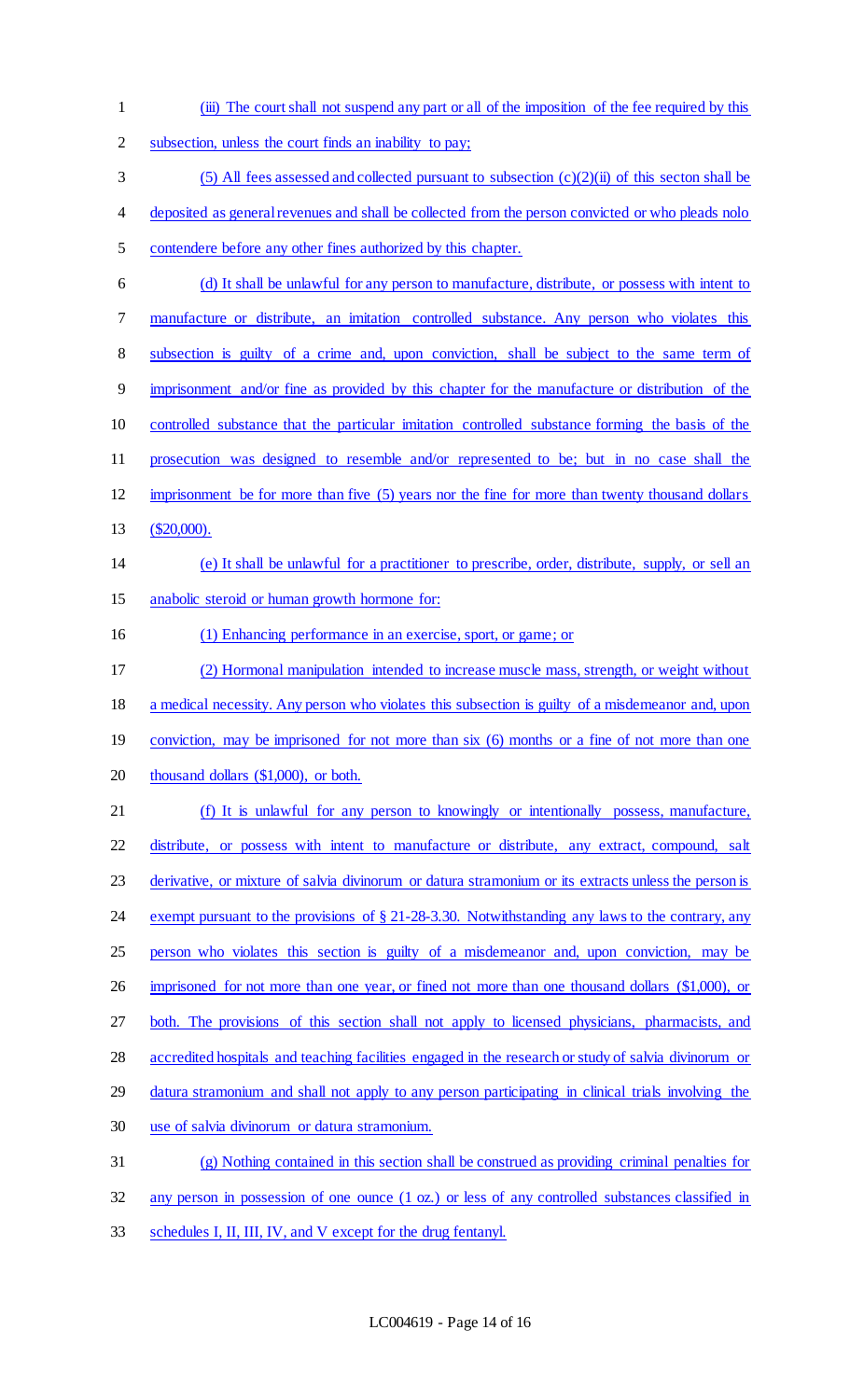- (iii) The court shall not suspend any part or all of the imposition of the fee required by this
- subsection, unless the court finds an inability to pay;
- 3 (5) All fees assessed and collected pursuant to subsection  $(c)(2)(ii)$  of this secton shall be
- deposited as general revenues and shall be collected from the person convicted or who pleads nolo
- contendere before any other fines authorized by this chapter.
- (d) It shall be unlawful for any person to manufacture, distribute, or possess with intent to manufacture or distribute, an imitation controlled substance. Any person who violates this subsection is guilty of a crime and, upon conviction, shall be subject to the same term of imprisonment and/or fine as provided by this chapter for the manufacture or distribution of the controlled substance that the particular imitation controlled substance forming the basis of the prosecution was designed to resemble and/or represented to be; but in no case shall the imprisonment be for more than five (5) years nor the fine for more than twenty thousand dollars (\$20,000). (e) It shall be unlawful for a practitioner to prescribe, order, distribute, supply, or sell an anabolic steroid or human growth hormone for: 16 (1) Enhancing performance in an exercise, sport, or game; or (2) Hormonal manipulation intended to increase muscle mass, strength, or weight without
- a medical necessity. Any person who violates this subsection is guilty of a misdemeanor and, upon
- 19 conviction, may be imprisoned for not more than six (6) months or a fine of not more than one
- 20 thousand dollars (\$1,000), or both.
- 21 (f) It is unlawful for any person to knowingly or intentionally possess, manufacture, distribute, or possess with intent to manufacture or distribute, any extract, compound, salt derivative, or mixture of salvia divinorum or datura stramonium or its extracts unless the person is exempt pursuant to the provisions of § 21-28-3.30. Notwithstanding any laws to the contrary, any person who violates this section is guilty of a misdemeanor and, upon conviction, may be 26 imprisoned for not more than one year, or fined not more than one thousand dollars (\$1,000), or both. The provisions of this section shall not apply to licensed physicians, pharmacists, and accredited hospitals and teaching facilities engaged in the research or study of salvia divinorum or 29 datura stramonium and shall not apply to any person participating in clinical trials involving the
- use of salvia divinorum or datura stramonium.
- (g) Nothing contained in this section shall be construed as providing criminal penalties for
- any person in possession of one ounce (1 oz.) or less of any controlled substances classified in
- schedules I, II, III, IV, and V except for the drug fentanyl.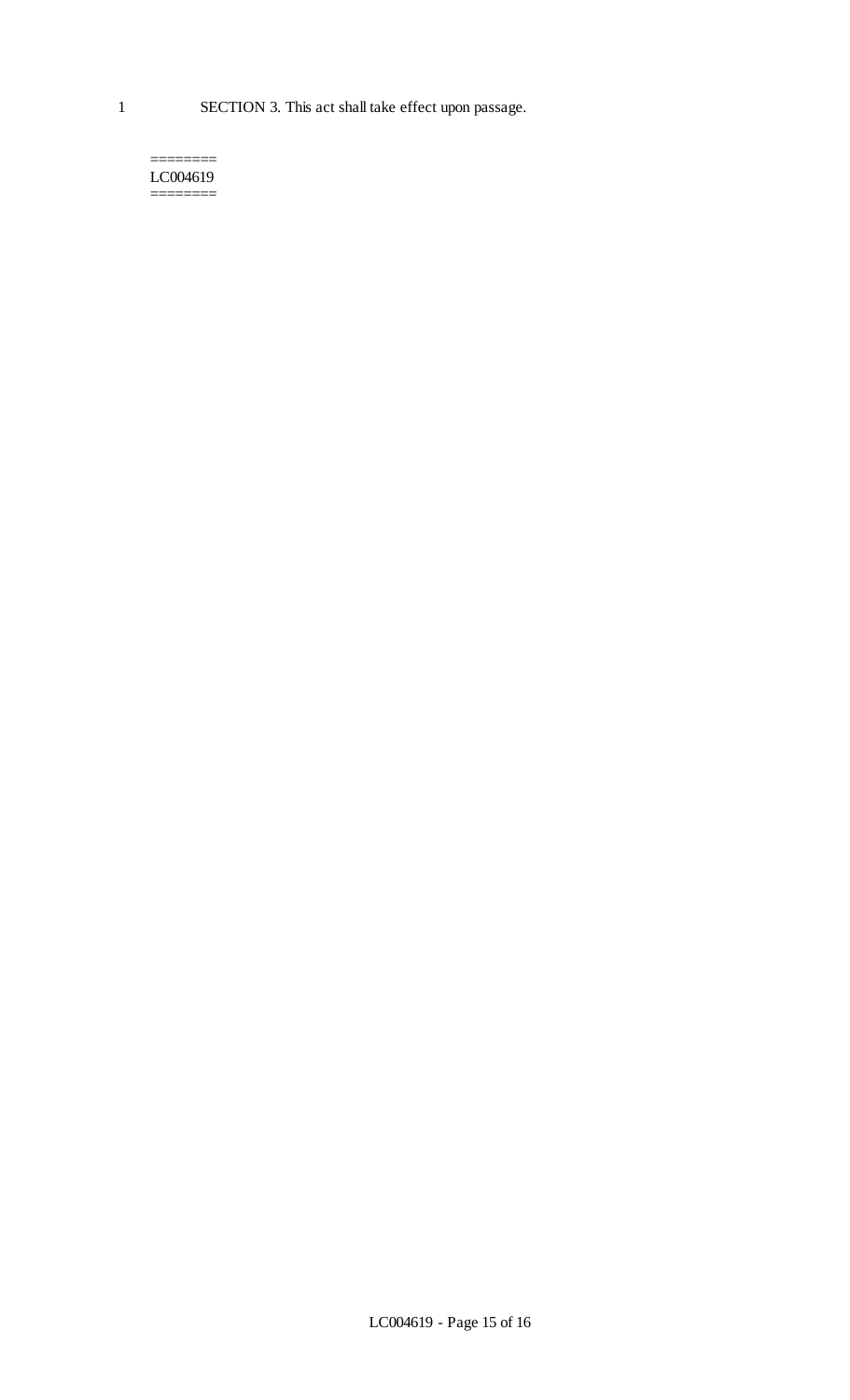#### ======== LC004619 ========